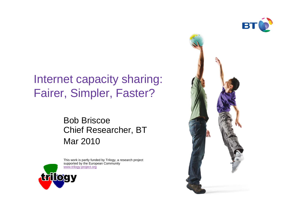

#### Internet capacity sharing:Fairer, Simpler, Faster?

#### Bob Briscoe Chief Researcher, BTMar 2010



This work is partly funded by Trilogy, a research project supported by the European Community www.trilogy-project.org

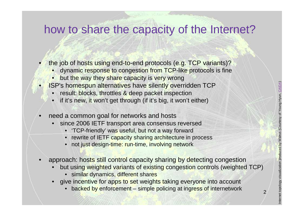#### how to share the capacity of the Internet?

- • the job of hosts using end-to-end protocols (e.g. TCP variants)?
	- dynamic response to congestion from TCP-like protocols is fine
	- but the way they share capacity is very wrong
	- ISP's homespun alternatives have silently overridden TCP
		- •result: blocks, throttles & deep packet inspection
		- if it's new, it won't get through (if it's big, it won't either)
- •need a common goal for networks and hosts

•

- since 2006 IETF transport area consensus reversed•
	- 'TCP-friendly' was useful, but not a way forward
	- rewrite of IETF capacity sharing architecture in process
	- •not just design-time: run-time, involving network
- • approach: hosts still control capacity sharing by detecting congestion
	- but using weighted variants of existing congestion controls (weighted TCP)•
		- simil<mark>ar</mark> dynamics, different shares
	- give incentive for apps to set weights taking everyone into account
		- backed by enforcement simple policing at ingress of internetwork

2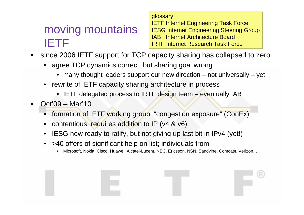### moving mountainsIETF

glossary

 IETF Internet Engineering Task Force IESG Internet Engineering Steering GroupIAB Internet Architecture BoardIRTF Internet Research Task Force

- since 2006 IETF support for TCP capacity sharing has collapsed to zero•
	- agree TCP dynamics correct, but sharing goal wrong
		- many thought leaders support our new direction not universally yet!
	- rewrite of IETF capacity sharing architecture in process
		- IETF delegated process to IRTF design team eventually IAB
- • Oct'09 – Mar'10
	- formation of IETF working group: "congestion exposure" (ConEx)
	- •contentious: requires addition to IP (v4 & v6)
	- IESG now ready to ratify, but not giving up last bit in IPv4 (yet!)
	- • >40 offers of significant help on list; individuals from
		- Microsoft, Nokia, Cisco, Huawei, Alcatel-Lucent, NEC, Ericsson, NSN, Sandvine, Comcast, Verizon, …•

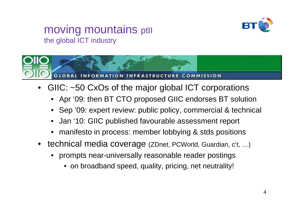#### moving mountains ptll the global ICT industry





- • GIIC: ~50 CxOs of the major global ICT corporations
	- Apr '09: then BT CTO proposed GIIC endorses BT solution
	- •Sep '09: expert review: public policy, commercial & technical
	- •Jan '10: GIIC published favourable assessment report
	- •manifesto in process: member lobbying & stds positions
- technical media coverage (ZDnet, PCWorld, Guardian, c't, …)
	- • prompts near-universally reasonable reader postings
		- on broadband speed, quality, pricing, net neutrality!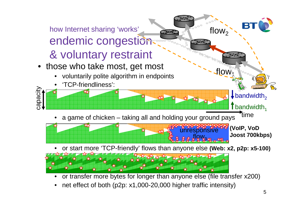

•net effect of both (p2p: x1,000-20,000 higher traffic intensity)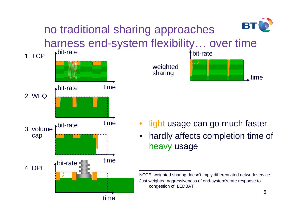

## no traditional sharing approachesharness end-system flexibility… over time





- •light usage can go much faster
- • hardly affects completion time of heavy usage

NOTE: weighted sharing doesn't imply differentiated network serviceJust weighted aggressiveness of end-system's rate response to congestion cf. LEDBAT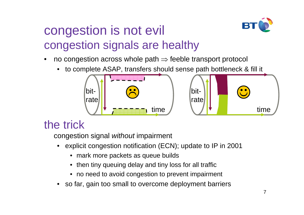# congestion is not evilcongestion signals are healthy



- •no congestion across whole path  $\Rightarrow$  feeble transport protocol<br>
s to complete ASAD transform abould eares path bettlemeak 8
	- •to complete ASAP, transfers should sense path bottleneck & fill it



#### the trick

congestion signal *without* impairment

- • explicit congestion notification (ECN); update to IP in 2001
	- mark more packets as queue builds
	- then tiny queuing delay and tiny loss for all traffic
	- no need to avoid congestion to prevent impairment
- •so far, gain too small to overcome deployment barriers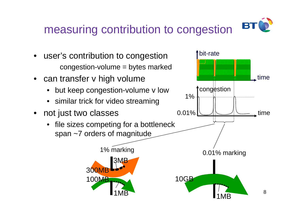#### BT measuring contribution to congestion

- $\bullet$  user's contribution to congestioncongestion-volume = bytes marked
- can transfer v high volume
	- but keep congestion-volume v low •
	- similar trick for video streaming
- $\bullet$  not just two classes
	- $\bullet$  file sizes competing for a bottleneck span ~7 orders of magnitude



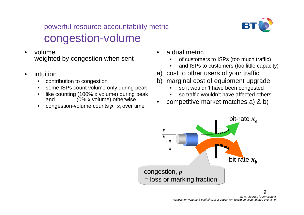#### powerful resource accountability metric congestion-volume

- • volumeweighted by congestion when sent
- • intuition
	- contribution to congestion•
	- some ISPs count volume only during peak•
	- like counting (100% x volume) during peak  $\bullet$ and (0% x volume) otherwise
	- congestion-volume counts  $p \cdot x_i$  over time  $\bullet$
- • a dual metric
	- of customers to ISPs (too much traffic)•
	- and ISPs to customers (too little capacity)•

B

- a) cost to other users of your traffic
- b) marginal cost of equipment upgrade
	- •so it wouldn't have been congested
	- so traffic wouldn't have affected others•
- competitive market matches a) & b)•



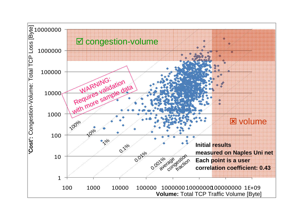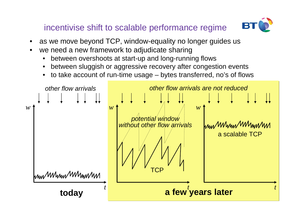incentivise shift to scalable performance regime



- •as we move beyond TCP, window-equality no longer guides us
- • we need a new framework to adjudicate sharing
	- between overshoots at start-up and long-running flows•
	- between sluggish or aggressive recovery after congestion events•
	- to take account of run-time usage bytes transferred, no's of flows $\bullet$

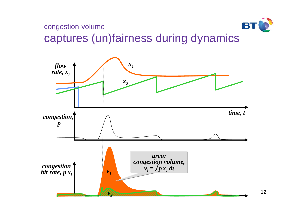

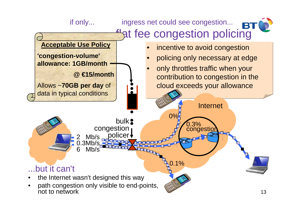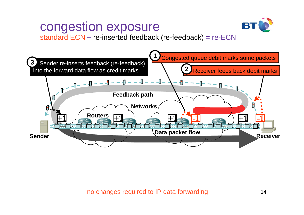# congestion exposure



standard ECN + re-inserted feedback (re-feedback) = re-ECN

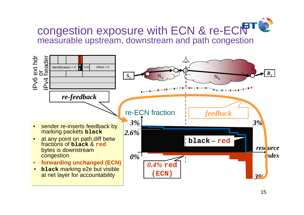

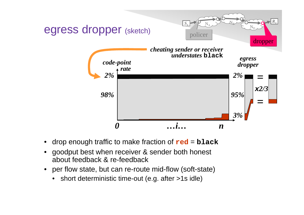

- •drop enough traffic to make fraction of **red** <sup>=</sup>**black**
- • goodput best when receiver & sender both honest about feedback & re-feedback
- per flow state, but can re-route mid-flow (soft-state) $\bullet$ 
	- •short deterministic time-out (e.g. after >1s idle)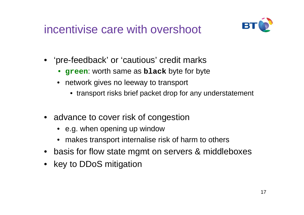## incentivise care with overshoot



- 'pre-feedback' or 'cautious' credit marks
	- **green**: worth same as **black** byte for byte
	- network gives no leeway to transport
		- transport risks brief packet drop for any understatement
- advance to cover risk of congestion
	- e.g. when opening up window
	- makes transport internalise risk of harm to others
- basis for flow state mgmt on servers & middleboxes
- key to DDoS mitigation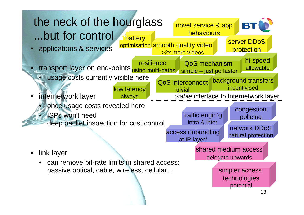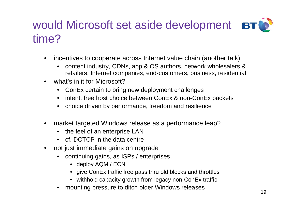## would Microsoft set aside development **BTO** time?

- • incentives to cooperate across Internet value chain (another talk)
	- • content industry, CDNs, app & OS authors, network wholesalers & retailers, Internet companies, end-customers, business, residential
- •what's in it for Microsoft?
	- ConEx certain to bring new deployment challenges
	- intent: free host choice between ConEx & non-ConEx packets
	- choice driven by performance, freedom and resilience
- • market targeted Windows release as a performance leap?
	- the feel of an enterprise LAN
	- cf. DCTCP in the data centre
- not just immediate gains on upgrade
	- continuing gains, as ISPs / enterprises…
		- deploy AQM / ECN
		- give ConEx traffic free pass thru old blocks and throttles
		- withhold capacity growth from legacy non-ConEx traffic
	- •mounting pressure to ditch older Windows releases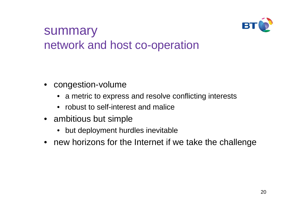

### summarynetwork and host co-operation

- congestion-volume
	- a metric to express and resolve conflicting interests
	- robust to self-interest and malice
- ambitious but simple
	- but deployment hurdles inevitable
- new horizons for the Internet if we take the challenge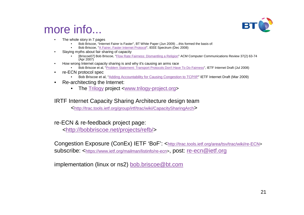

#### more info...

- • The whole story in 7 pages
	- Bob Briscoe, "Internet Fairer is Faster", BT White Paper (Jun 2009) ...this formed the basis of: •
	- •Bob Briscoe, "A Fairer, Faster Internet Protocol", IEEE Spectrum (Dec 2008)
- • Slaying myths about fair sharing of capacity
	- [Briscoe07] Bob Briscoe, "*Flow Rate Fairness: Dismantling a Religion*" ACM Computer Communications Review 37(2) 63-74 •(Apr 2007)
- How wrong Internet capacity sharing is and why it's causing an arms race•
	- Bob Briscoe et al, "Problem Statement: Transport Protocols Don't Have To Do Fairness", IETF Internet Draft (Jul 2008)•
- • re-ECN protocol spec
	- Bob Briscoe et al, "Adding Accountability for Causing Congestion to TCP/IP" IETF Internet Draft (Mar 2009)•
- • Re-architecting the Internet:
	- The Trilogy project <www.trilogy-project.org>

#### IRTF Internet Capacity Sharing Architecture design team

<http://trac.tools.ietf.org/group/irtf/trac/wiki/CapacitySharingArch>

re-ECN & re-feedback project page:

<http://bobbriscoe.net/projects/refb/>

Congestion Exposure (ConEx) IETF 'BoF': <http://trac.tools.ietf.org/area/tsv/trac/wiki/re-ECN> subscribe: <https://www.ietf.org/mailman/listinfo/re-ecn>, post: re-ecn@ietf.org

implementation (linux or ns2) bob.briscoe@bt.com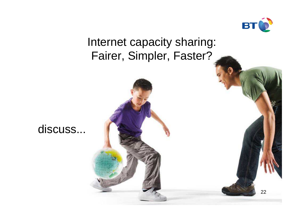

### Internet capacity sharing:Fairer, Simpler, Faster?



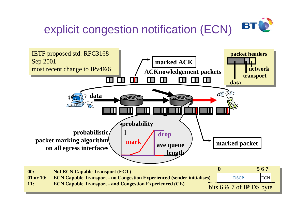



**11: ECN Capable Transport - and Congestion Experienced (CE)**

bits 6 & 7 of **IP** DS byte

23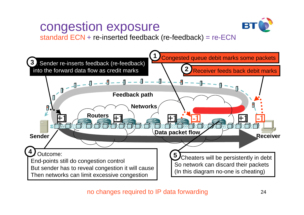# congestion exposure



standard ECN + re-inserted feedback (re-feedback) = re-ECN



no changes required to IP data forwarding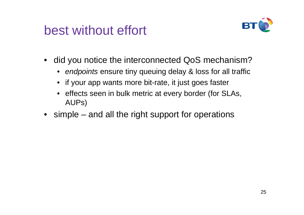# best without effort



- did you notice the interconnected QoS mechanism?
	- endpoints ensure tiny queuing delay & loss for all traffic
	- if your app wants more bit-rate, it just goes faster
	- effects seen in bulk metric at every border (for SLAs, AUPs)
- simple and all the right support for operations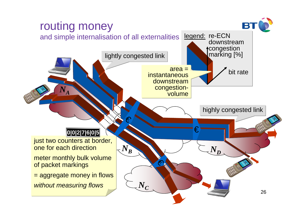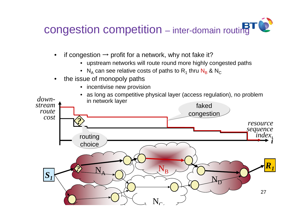

- •if congestion  $\rightarrow$  profit for a network, why not fake it?
	- upstream networks will route round more highly congested paths
	- $\,$  N $_{\rm A}$  can see relative costs of paths to  $\rm R_{1}$  thru  $\rm N_{B}$  & N $_{\rm C}$
- the issue of monopoly paths•
	- incentivise new provision  $\bullet$